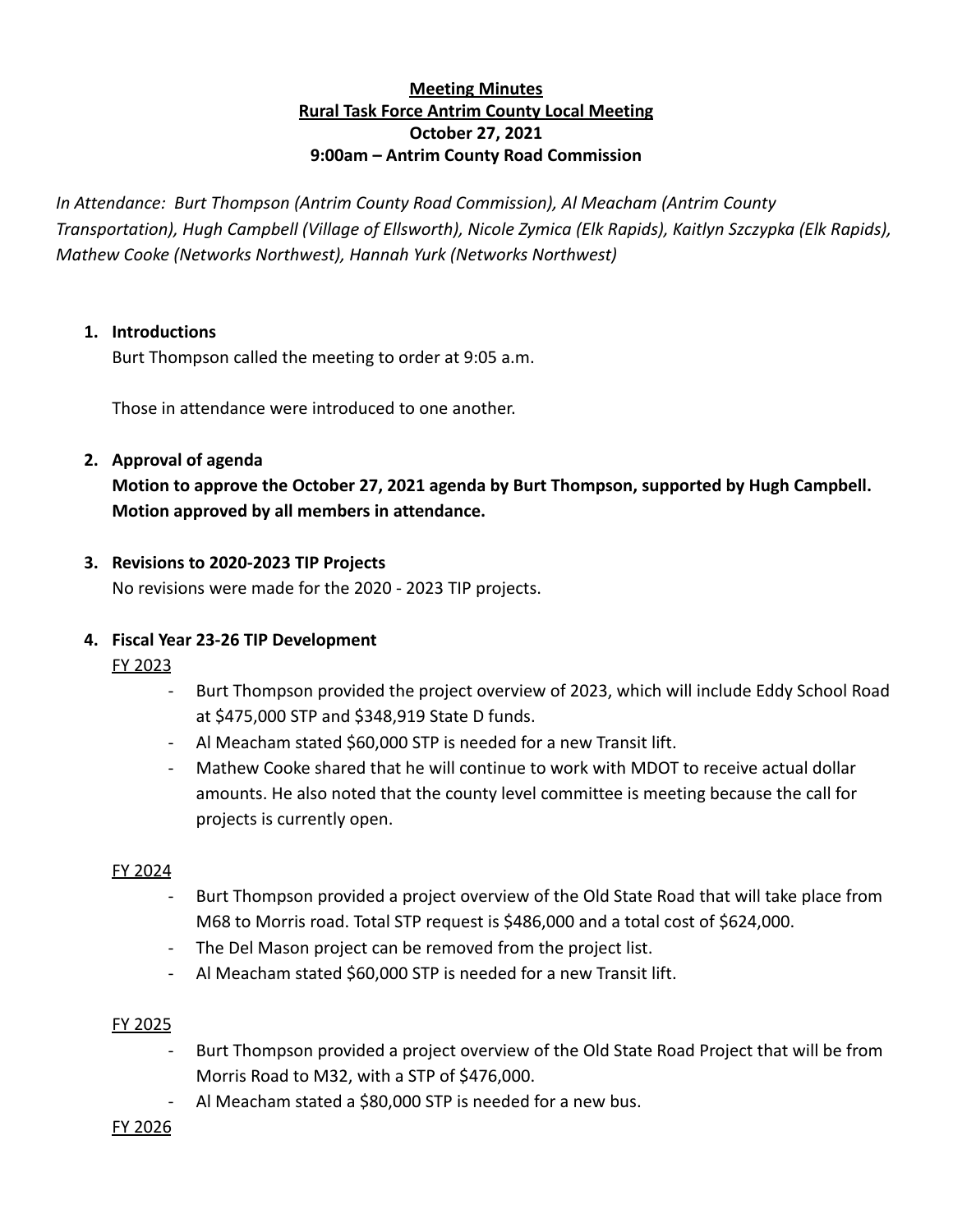# **Meeting Minutes Rural Task Force Antrim County Local Meeting October 27, 2021 9:00am – Antrim County Road Commission**

*In Attendance: Burt Thompson (Antrim County Road Commission), Al Meacham (Antrim County Transportation), Hugh Campbell (Village of Ellsworth), Nicole Zymica (Elk Rapids), Kaitlyn Szczypka (Elk Rapids), Mathew Cooke (Networks Northwest), Hannah Yurk (Networks Northwest)*

## **1. Introductions**

Burt Thompson called the meeting to order at 9:05 a.m.

Those in attendance were introduced to one another.

## **2. Approval of agenda**

**Motion to approve the October 27, 2021 agenda by Burt Thompson, supported by Hugh Campbell. Motion approved by all members in attendance.**

## **3. Revisions to 2020-2023 TIP Projects**

No revisions were made for the 2020 - 2023 TIP projects.

# **4. Fiscal Year 23-26 TIP Development**

FY 2023

- Burt Thompson provided the project overview of 2023, which will include Eddy School Road at \$475,000 STP and \$348,919 State D funds.
- Al Meacham stated \$60,000 STP is needed for a new Transit lift.
- Mathew Cooke shared that he will continue to work with MDOT to receive actual dollar amounts. He also noted that the county level committee is meeting because the call for projects is currently open.

#### FY 2024

- Burt Thompson provided a project overview of the Old State Road that will take place from M68 to Morris road. Total STP request is \$486,000 and a total cost of \$624,000.
- The Del Mason project can be removed from the project list.
- Al Meacham stated \$60,000 STP is needed for a new Transit lift.

#### FY 2025

- Burt Thompson provided a project overview of the Old State Road Project that will be from Morris Road to M32, with a STP of \$476,000.
- Al Meacham stated a \$80,000 STP is needed for a new bus.

#### FY 2026